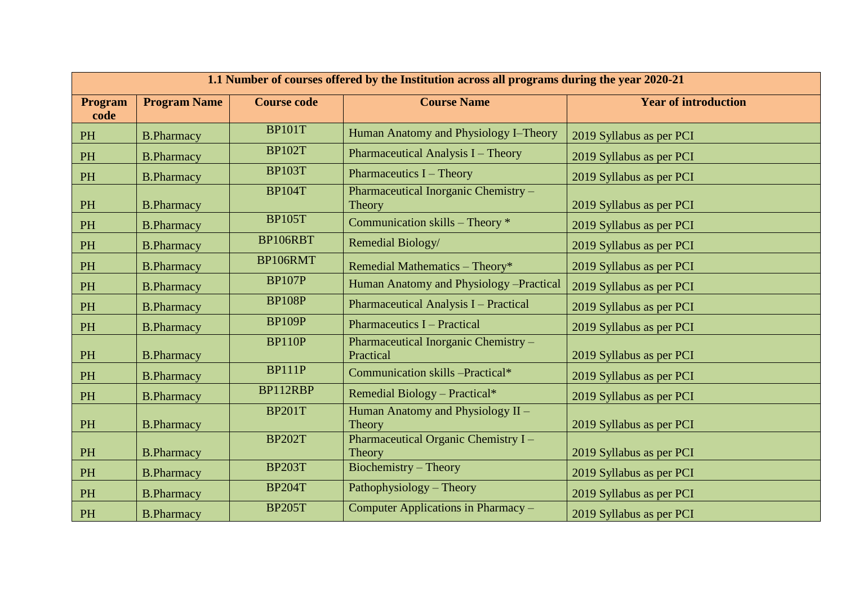| 1.1 Number of courses offered by the Institution across all programs during the year 2020-21 |                     |                    |                                                   |                             |
|----------------------------------------------------------------------------------------------|---------------------|--------------------|---------------------------------------------------|-----------------------------|
| Program<br>code                                                                              | <b>Program Name</b> | <b>Course code</b> | <b>Course Name</b>                                | <b>Year of introduction</b> |
| <b>PH</b>                                                                                    | <b>B.Pharmacy</b>   | <b>BP101T</b>      | Human Anatomy and Physiology I-Theory             | 2019 Syllabus as per PCI    |
| <b>PH</b>                                                                                    | <b>B.Pharmacy</b>   | <b>BP102T</b>      | Pharmaceutical Analysis I – Theory                | 2019 Syllabus as per PCI    |
| PH                                                                                           | <b>B.Pharmacy</b>   | <b>BP103T</b>      | Pharmaceutics I - Theory                          | 2019 Syllabus as per PCI    |
| PH                                                                                           | <b>B.Pharmacy</b>   | <b>BP104T</b>      | Pharmaceutical Inorganic Chemistry -<br>Theory    | 2019 Syllabus as per PCI    |
| PH                                                                                           | <b>B.Pharmacy</b>   | <b>BP105T</b>      | Communication skills - Theory *                   | 2019 Syllabus as per PCI    |
| PH                                                                                           | <b>B.Pharmacy</b>   | BP106RBT           | Remedial Biology/                                 | 2019 Syllabus as per PCI    |
| PH                                                                                           | <b>B.Pharmacy</b>   | BP106RMT           | Remedial Mathematics - Theory*                    | 2019 Syllabus as per PCI    |
| PH                                                                                           | <b>B.Pharmacy</b>   | <b>BP107P</b>      | Human Anatomy and Physiology -Practical           | 2019 Syllabus as per PCI    |
| PH                                                                                           | <b>B.Pharmacy</b>   | <b>BP108P</b>      | Pharmaceutical Analysis I - Practical             | 2019 Syllabus as per PCI    |
| PH                                                                                           | <b>B.Pharmacy</b>   | <b>BP109P</b>      | <b>Pharmaceutics I – Practical</b>                | 2019 Syllabus as per PCI    |
| PH                                                                                           | <b>B.Pharmacy</b>   | <b>BP110P</b>      | Pharmaceutical Inorganic Chemistry -<br>Practical | 2019 Syllabus as per PCI    |
| PH                                                                                           | <b>B.Pharmacy</b>   | <b>BP111P</b>      | Communication skills -Practical*                  | 2019 Syllabus as per PCI    |
| PH                                                                                           | <b>B.Pharmacy</b>   | BP112RBP           | Remedial Biology - Practical*                     | 2019 Syllabus as per PCI    |
| PH                                                                                           | <b>B.Pharmacy</b>   | <b>BP201T</b>      | Human Anatomy and Physiology II -<br>Theory       | 2019 Syllabus as per PCI    |
| PH                                                                                           | <b>B.Pharmacy</b>   | <b>BP202T</b>      | Pharmaceutical Organic Chemistry I-<br>Theory     | 2019 Syllabus as per PCI    |
| PH                                                                                           | <b>B.Pharmacy</b>   | <b>BP203T</b>      | Biochemistry - Theory                             | 2019 Syllabus as per PCI    |
| PH                                                                                           | <b>B.Pharmacy</b>   | <b>BP204T</b>      | Pathophysiology – Theory                          | 2019 Syllabus as per PCI    |
| PH                                                                                           | <b>B.Pharmacy</b>   | <b>BP205T</b>      | Computer Applications in Pharmacy -               | 2019 Syllabus as per PCI    |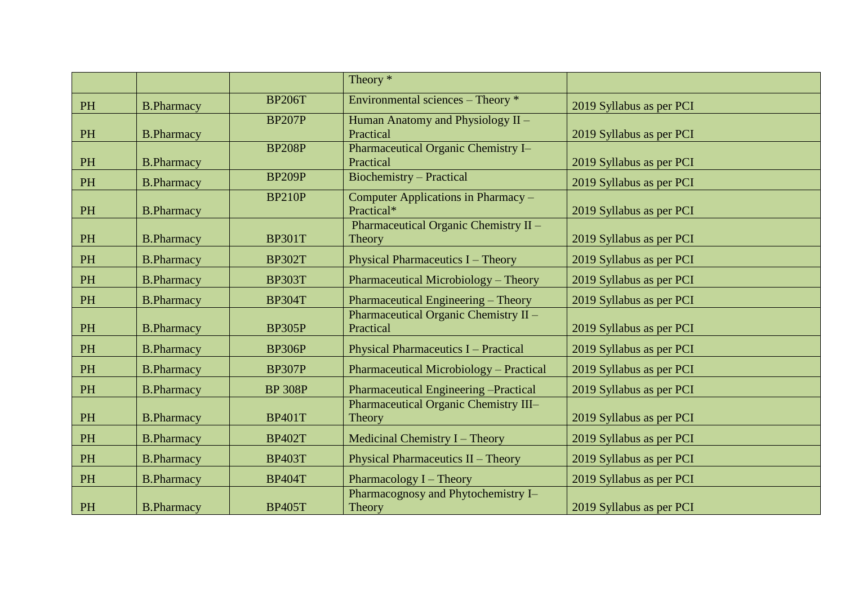|          |                   |                | Theory $*$                                    |                          |
|----------|-------------------|----------------|-----------------------------------------------|--------------------------|
| PH       | <b>B.Pharmacy</b> | <b>BP206T</b>  | Environmental sciences – Theory *             | 2019 Syllabus as per PCI |
|          |                   | <b>BP207P</b>  | Human Anatomy and Physiology II -             |                          |
| PH       | <b>B.Pharmacy</b> |                | Practical                                     | 2019 Syllabus as per PCI |
|          |                   | <b>BP208P</b>  | Pharmaceutical Organic Chemistry I-           |                          |
| PH       | <b>B.Pharmacy</b> |                | Practical                                     | 2019 Syllabus as per PCI |
| PH       | <b>B.Pharmacy</b> | <b>BP209P</b>  | <b>Biochemistry - Practical</b>               | 2019 Syllabus as per PCI |
|          |                   | <b>BP210P</b>  | Computer Applications in Pharmacy -           |                          |
| PH       | <b>B.Pharmacy</b> |                | Practical*                                    | 2019 Syllabus as per PCI |
|          |                   |                | Pharmaceutical Organic Chemistry II -         |                          |
| PH       | <b>B.Pharmacy</b> | <b>BP301T</b>  | Theory                                        | 2019 Syllabus as per PCI |
| $\rm PH$ | <b>B.Pharmacy</b> | <b>BP302T</b>  | <b>Physical Pharmaceutics I - Theory</b>      | 2019 Syllabus as per PCI |
| PH       | <b>B.Pharmacy</b> | <b>BP303T</b>  | Pharmaceutical Microbiology - Theory          | 2019 Syllabus as per PCI |
| PH       | <b>B.Pharmacy</b> | <b>BP304T</b>  | Pharmaceutical Engineering - Theory           | 2019 Syllabus as per PCI |
|          |                   |                | Pharmaceutical Organic Chemistry II -         |                          |
| PH       | <b>B.Pharmacy</b> | <b>BP305P</b>  | Practical                                     | 2019 Syllabus as per PCI |
| PH       | <b>B.Pharmacy</b> | <b>BP306P</b>  | Physical Pharmaceutics I - Practical          | 2019 Syllabus as per PCI |
| PH       | <b>B.Pharmacy</b> | <b>BP307P</b>  | Pharmaceutical Microbiology - Practical       | 2019 Syllabus as per PCI |
| PH       | <b>B.Pharmacy</b> | <b>BP 308P</b> | Pharmaceutical Engineering - Practical        | 2019 Syllabus as per PCI |
|          |                   |                | Pharmaceutical Organic Chemistry III-         |                          |
| PH       | <b>B.Pharmacy</b> | <b>BP401T</b>  | Theory                                        | 2019 Syllabus as per PCI |
| PH       | <b>B.Pharmacy</b> | <b>BP402T</b>  | Medicinal Chemistry I - Theory                | 2019 Syllabus as per PCI |
| PH       | <b>B.Pharmacy</b> | <b>BP403T</b>  | Physical Pharmaceutics II - Theory            | 2019 Syllabus as per PCI |
| PH       | <b>B.Pharmacy</b> | <b>BP404T</b>  | Pharmacology I – Theory                       | 2019 Syllabus as per PCI |
| PH       | <b>B.Pharmacy</b> | <b>BP405T</b>  | Pharmacognosy and Phytochemistry I-<br>Theory | 2019 Syllabus as per PCI |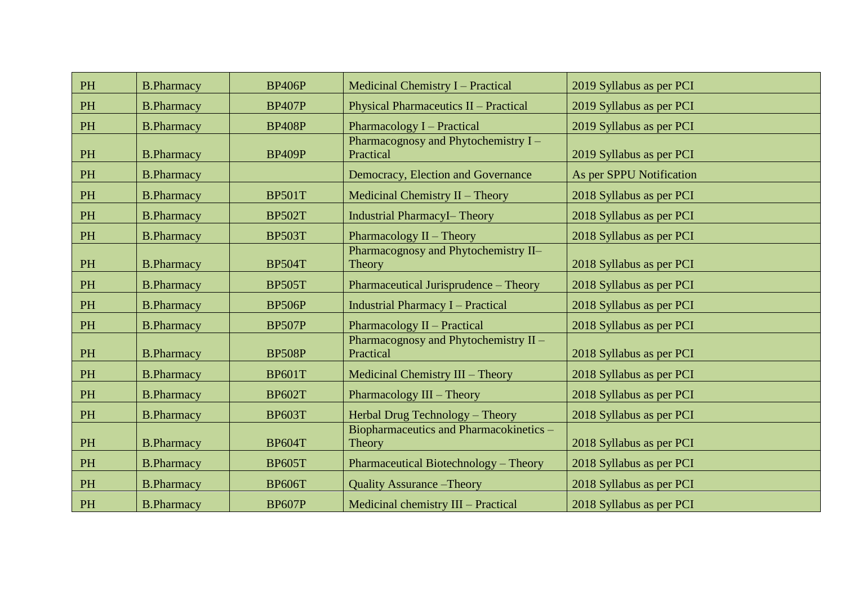| PH       | <b>B.Pharmacy</b> | <b>BP406P</b> | Medicinal Chemistry I - Practical                  | 2019 Syllabus as per PCI |
|----------|-------------------|---------------|----------------------------------------------------|--------------------------|
| PH       | <b>B.Pharmacy</b> | <b>BP407P</b> | Physical Pharmaceutics II - Practical              | 2019 Syllabus as per PCI |
| PH       | <b>B.Pharmacy</b> | <b>BP408P</b> | <b>Pharmacology I – Practical</b>                  | 2019 Syllabus as per PCI |
| PH       | <b>B.Pharmacy</b> | <b>BP409P</b> | Pharmacognosy and Phytochemistry I -<br>Practical  | 2019 Syllabus as per PCI |
| PH       | <b>B.Pharmacy</b> |               | Democracy, Election and Governance                 | As per SPPU Notification |
| PH       | <b>B.Pharmacy</b> | <b>BP501T</b> | Medicinal Chemistry II - Theory                    | 2018 Syllabus as per PCI |
| PH       | <b>B.Pharmacy</b> | <b>BP502T</b> | <b>Industrial PharmacyI-Theory</b>                 | 2018 Syllabus as per PCI |
| PH       | <b>B.Pharmacy</b> | <b>BP503T</b> | Pharmacology II - Theory                           | 2018 Syllabus as per PCI |
| $\rm PH$ | <b>B.Pharmacy</b> | <b>BP504T</b> | Pharmacognosy and Phytochemistry II-<br>Theory     | 2018 Syllabus as per PCI |
| PH       | <b>B.Pharmacy</b> | <b>BP505T</b> | Pharmaceutical Jurisprudence - Theory              | 2018 Syllabus as per PCI |
| $\rm PH$ | <b>B.Pharmacy</b> | <b>BP506P</b> | <b>Industrial Pharmacy I - Practical</b>           | 2018 Syllabus as per PCI |
| PH       | <b>B.Pharmacy</b> | <b>BP507P</b> | Pharmacology II - Practical                        | 2018 Syllabus as per PCI |
| PH       | <b>B.Pharmacy</b> | <b>BP508P</b> | Pharmacognosy and Phytochemistry II -<br>Practical | 2018 Syllabus as per PCI |
| PH       | <b>B.Pharmacy</b> | <b>BP601T</b> | Medicinal Chemistry III - Theory                   | 2018 Syllabus as per PCI |
| $\rm PH$ | <b>B.Pharmacy</b> | <b>BP602T</b> | Pharmacology III - Theory                          | 2018 Syllabus as per PCI |
| PH       | <b>B.Pharmacy</b> | <b>BP603T</b> | Herbal Drug Technology - Theory                    | 2018 Syllabus as per PCI |
| PH       | <b>B.Pharmacy</b> | <b>BP604T</b> | Biopharmaceutics and Pharmacokinetics -<br>Theory  | 2018 Syllabus as per PCI |
| $\rm PH$ | <b>B.Pharmacy</b> | <b>BP605T</b> | Pharmaceutical Biotechnology - Theory              | 2018 Syllabus as per PCI |
| PH       | <b>B.Pharmacy</b> | <b>BP606T</b> | <b>Quality Assurance – Theory</b>                  | 2018 Syllabus as per PCI |
| PH       | <b>B.Pharmacy</b> | <b>BP607P</b> | Medicinal chemistry III - Practical                | 2018 Syllabus as per PCI |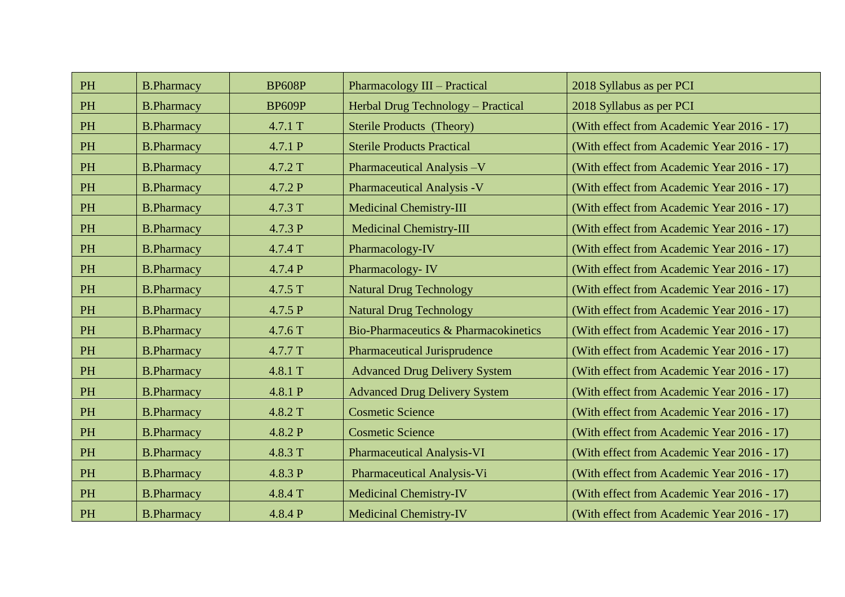| PH        | <b>B.Pharmacy</b> | <b>BP608P</b> | Pharmacology III - Practical         | 2018 Syllabus as per PCI                   |
|-----------|-------------------|---------------|--------------------------------------|--------------------------------------------|
| PH        | <b>B.Pharmacy</b> | <b>BP609P</b> | Herbal Drug Technology - Practical   | 2018 Syllabus as per PCI                   |
| PH        | <b>B.Pharmacy</b> | 4.7.1 T       | <b>Sterile Products (Theory)</b>     | (With effect from Academic Year 2016 - 17) |
| PH        | <b>B.Pharmacy</b> | 4.7.1 P       | <b>Sterile Products Practical</b>    | (With effect from Academic Year 2016 - 17) |
| PH        | <b>B.Pharmacy</b> | 4.7.2 T       | Pharmaceutical Analysis -V           | (With effect from Academic Year 2016 - 17) |
| PH        | <b>B.Pharmacy</b> | 4.7.2 P       | <b>Pharmaceutical Analysis -V</b>    | (With effect from Academic Year 2016 - 17) |
| <b>PH</b> | <b>B.Pharmacy</b> | 4.7.3 T       | <b>Medicinal Chemistry-III</b>       | (With effect from Academic Year 2016 - 17) |
| <b>PH</b> | <b>B.Pharmacy</b> | 4.7.3 P       | <b>Medicinal Chemistry-III</b>       | (With effect from Academic Year 2016 - 17) |
| PH        | <b>B.Pharmacy</b> | 4.7.4 T       | Pharmacology-IV                      | (With effect from Academic Year 2016 - 17) |
| PH        | <b>B.Pharmacy</b> | 4.7.4P        | Pharmacology-IV                      | (With effect from Academic Year 2016 - 17) |
| PH        | <b>B.Pharmacy</b> | 4.7.5 T       | <b>Natural Drug Technology</b>       | (With effect from Academic Year 2016 - 17) |
| PH        | <b>B.Pharmacy</b> | 4.7.5 P       | <b>Natural Drug Technology</b>       | (With effect from Academic Year 2016 - 17) |
| PH        | <b>B.Pharmacy</b> | 4.7.6 T       | Bio-Pharmaceutics & Pharmacokinetics | (With effect from Academic Year 2016 - 17) |
| <b>PH</b> | <b>B.Pharmacy</b> | 4.7.7 T       | Pharmaceutical Jurisprudence         | (With effect from Academic Year 2016 - 17) |
| PH        | <b>B.Pharmacy</b> | 4.8.1 T       | <b>Advanced Drug Delivery System</b> | (With effect from Academic Year 2016 - 17) |
| PH        | <b>B.Pharmacy</b> | 4.8.1 P       | <b>Advanced Drug Delivery System</b> | (With effect from Academic Year 2016 - 17) |
| PH        | <b>B.Pharmacy</b> | 4.8.2 T       | <b>Cosmetic Science</b>              | (With effect from Academic Year 2016 - 17) |
| <b>PH</b> | <b>B.Pharmacy</b> | 4.8.2 P       | <b>Cosmetic Science</b>              | (With effect from Academic Year 2016 - 17) |
| PH        | <b>B.Pharmacy</b> | 4.8.3 T       | <b>Pharmaceutical Analysis-VI</b>    | (With effect from Academic Year 2016 - 17) |
| PH        | <b>B.Pharmacy</b> | 4.8.3 P       | Pharmaceutical Analysis-Vi           | (With effect from Academic Year 2016 - 17) |
| PH        | <b>B.Pharmacy</b> | 4.8.4 T       | <b>Medicinal Chemistry-IV</b>        | (With effect from Academic Year 2016 - 17) |
| PH        | <b>B.Pharmacy</b> | 4.8.4 P       | <b>Medicinal Chemistry-IV</b>        | (With effect from Academic Year 2016 - 17) |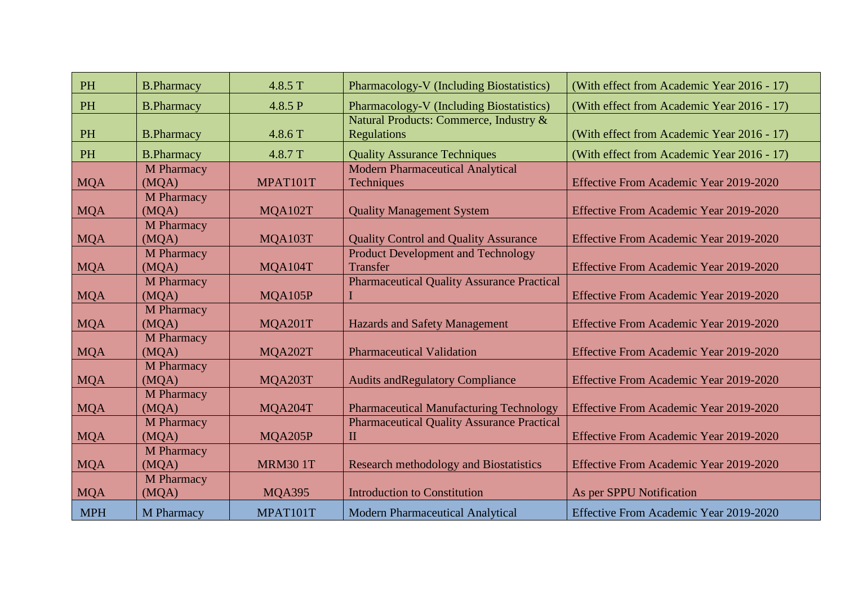| <b>PH</b>  | <b>B.Pharmacy</b>          | 4.8.5 T        | Pharmacology-V (Including Biostatistics)                          | (With effect from Academic Year 2016 - 17) |
|------------|----------------------------|----------------|-------------------------------------------------------------------|--------------------------------------------|
| <b>PH</b>  | <b>B.Pharmacy</b>          | 4.8.5 P        | Pharmacology-V (Including Biostatistics)                          | (With effect from Academic Year 2016 - 17) |
| <b>PH</b>  | <b>B.Pharmacy</b>          | 4.8.6 T        | Natural Products: Commerce, Industry &<br><b>Regulations</b>      | (With effect from Academic Year 2016 - 17) |
| <b>PH</b>  | <b>B.Pharmacy</b>          | 4.8.7 T        | <b>Quality Assurance Techniques</b>                               | (With effect from Academic Year 2016 - 17) |
| <b>MQA</b> | <b>M</b> Pharmacy<br>(MQA) | MPAT101T       | <b>Modern Pharmaceutical Analytical</b><br>Techniques             | Effective From Academic Year 2019-2020     |
| <b>MQA</b> | M Pharmacy<br>(MQA)        | MQA102T        | <b>Quality Management System</b>                                  | Effective From Academic Year 2019-2020     |
| <b>MQA</b> | M Pharmacy<br>(MQA)        | MQA103T        | <b>Quality Control and Quality Assurance</b>                      | Effective From Academic Year 2019-2020     |
| <b>MQA</b> | <b>M</b> Pharmacy<br>(MQA) | MQA104T        | <b>Product Development and Technology</b><br><b>Transfer</b>      | Effective From Academic Year 2019-2020     |
| <b>MQA</b> | M Pharmacy<br>(MQA)        | MQA105P        | <b>Pharmaceutical Quality Assurance Practical</b>                 | Effective From Academic Year 2019-2020     |
| <b>MQA</b> | M Pharmacy<br>(MQA)        | MQA201T        | <b>Hazards and Safety Management</b>                              | Effective From Academic Year 2019-2020     |
| <b>MQA</b> | M Pharmacy<br>(MQA)        | MQA202T        | <b>Pharmaceutical Validation</b>                                  | Effective From Academic Year 2019-2020     |
| <b>MQA</b> | M Pharmacy<br>(MQA)        | MQA203T        | <b>Audits and Regulatory Compliance</b>                           | Effective From Academic Year 2019-2020     |
| <b>MQA</b> | M Pharmacy<br>(MQA)        | MQA204T        | <b>Pharmaceutical Manufacturing Technology</b>                    | Effective From Academic Year 2019-2020     |
| <b>MQA</b> | M Pharmacy<br>(MQA)        | MQA205P        | <b>Pharmaceutical Quality Assurance Practical</b><br>$\mathbf{I}$ | Effective From Academic Year 2019-2020     |
| <b>MQA</b> | M Pharmacy<br>(MQA)        | <b>MRM301T</b> | <b>Research methodology and Biostatistics</b>                     | Effective From Academic Year 2019-2020     |
| <b>MQA</b> | <b>M</b> Pharmacy<br>(MQA) | <b>MQA395</b>  | <b>Introduction to Constitution</b>                               | As per SPPU Notification                   |
| <b>MPH</b> | M Pharmacy                 | MPAT101T       | <b>Modern Pharmaceutical Analytical</b>                           | Effective From Academic Year 2019-2020     |